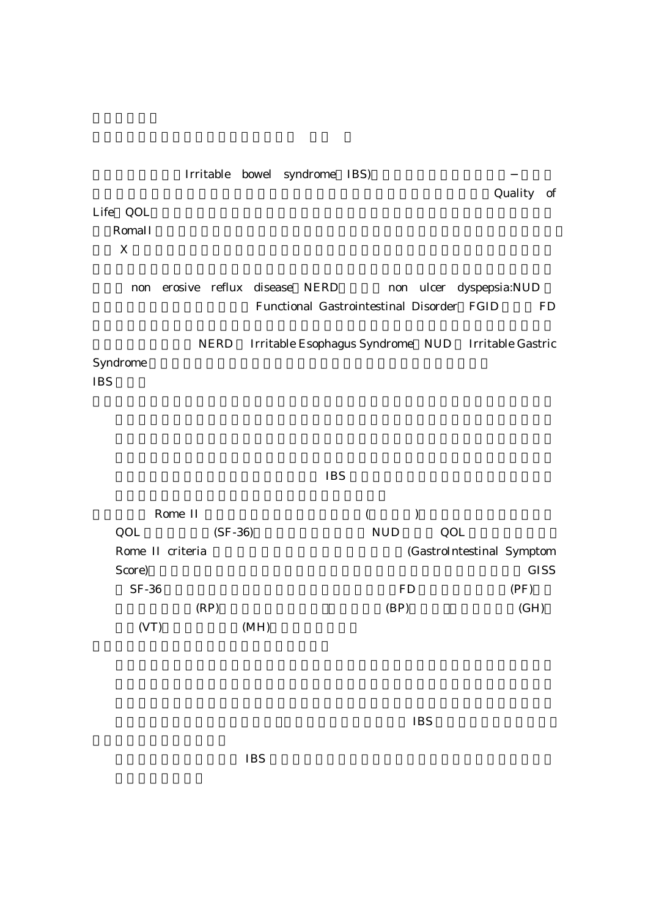Irritable bowel syndrome IBS) Quality of Life QOL expedia and the set of the set of the set of the set of the set of the set of the set of the set of the set of the set of the set of the set of the set of the set of the set of the set of the set of the set of the set of  $\bf{X}$ non erosive reflux disease NERD non ulcer dyspepsia:NUD Functional Gastrointestinal Disorder FGID FD NERD Irritable Esophagus Syndrome NUD Irritable Gastric Syndrome **IBS** 

## $IBS$

| Rome II          |           |                           |             |
|------------------|-----------|---------------------------|-------------|
| QOL              | $(SF-36)$ | <b>NUD</b><br>QOL         |             |
| Rome II criteria |           | (GastroIntestinal Symptom |             |
| Score)           |           |                           | <b>GISS</b> |
| $SF-36$          |           | <b>FD</b>                 | (PF)        |
| (RP)             |           | (BP)                      | (GH)        |
|                  | (MH)      |                           |             |

 $IBS$ 

 $IBS$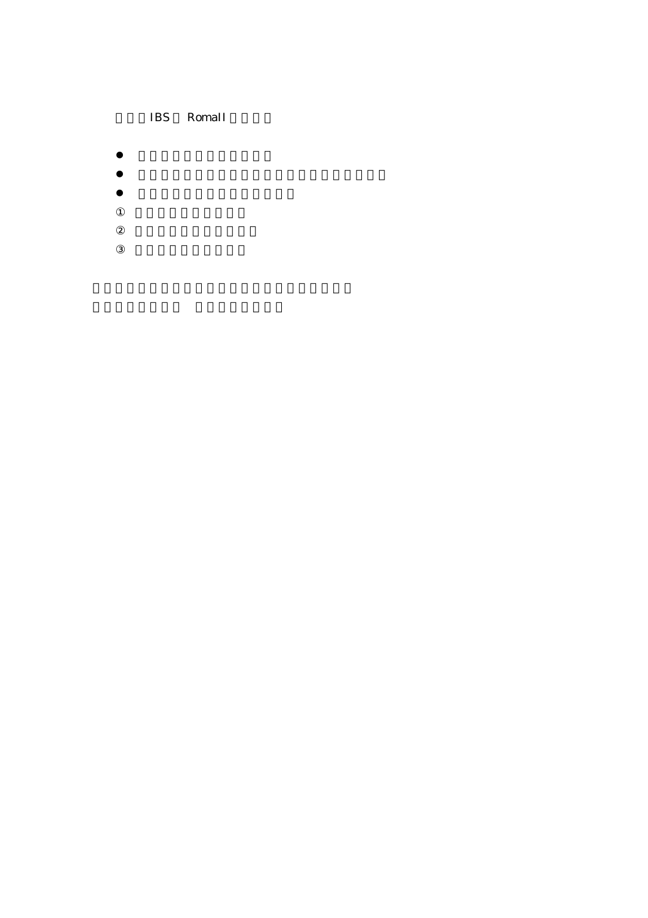## IBS RomaII

- $\bullet$
- 
- $\bullet$ z 下記の2項目以上の特徴を示す
-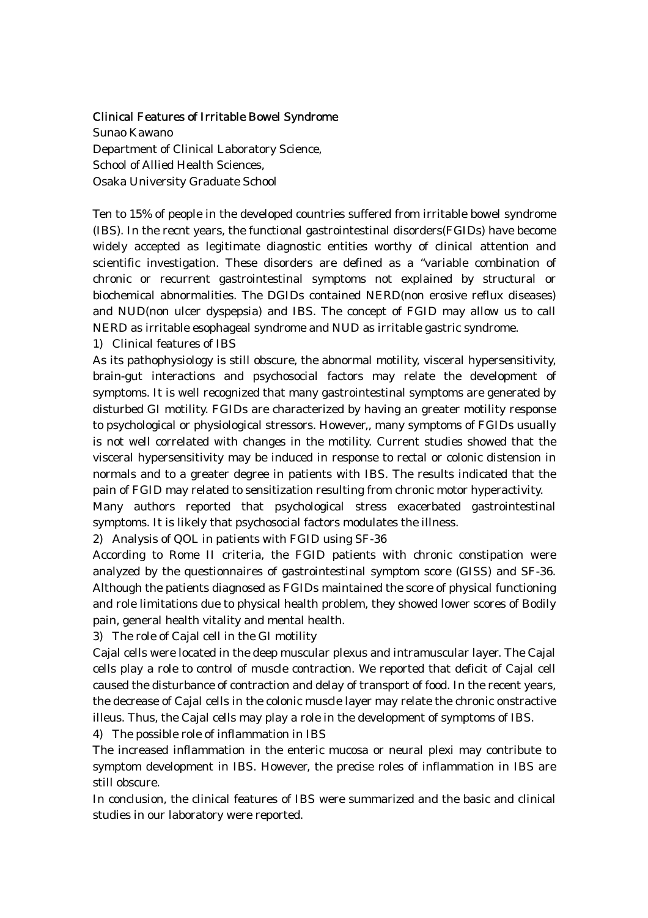## Clinical Features of Irritable Bowel Syndrome

Sunao Kawano Department of Clinical Laboratory Science, School of Allied Health Sciences, Osaka University Graduate School

Ten to 15% of people in the developed countries suffered from irritable bowel syndrome (IBS). In the recnt years, the functional gastrointestinal disorders(FGIDs) have become widely accepted as legitimate diagnostic entities worthy of clinical attention and scientific investigation. These disorders are defined as a "variable combination of chronic or recurrent gastrointestinal symptoms not explained by structural or biochemical abnormalities. The DGIDs contained NERD(non erosive reflux diseases) and NUD(non ulcer dyspepsia) and IBS. The concept of FGID may allow us to call NERD as irritable esophageal syndrome and NUD as irritable gastric syndrome.

1) Clinical features of IBS

As its pathophysiology is still obscure, the abnormal motility, visceral hypersensitivity, brain-gut interactions and psychosocial factors may relate the development of symptoms. It is well recognized that many gastrointestinal symptoms are generated by disturbed GI motility. FGIDs are characterized by having an greater motility response to psychological or physiological stressors. However,, many symptoms of FGIDs usually is not well correlated with changes in the motility. Current studies showed that the visceral hypersensitivity may be induced in response to rectal or colonic distension in normals and to a greater degree in patients with IBS. The results indicated that the pain of FGID may related to sensitization resulting from chronic motor hyperactivity.

Many authors reported that psychological stress exacerbated gastrointestinal symptoms. It is likely that psychosocial factors modulates the illness.

2) Analysis of QOL in patients with FGID using SF-36

According to Rome II criteria, the FGID patients with chronic constipation were analyzed by the questionnaires of gastrointestinal symptom score (GISS) and SF-36. Although the patients diagnosed as FGIDs maintained the score of physical functioning and role limitations due to physical health problem, they showed lower scores of Bodily pain, general health vitality and mental health.

3) The role of Cajal cell in the GI motility

Cajal cells were located in the deep muscular plexus and intramuscular layer. The Cajal cells play a role to control of muscle contraction. We reported that deficit of Cajal cell caused the disturbance of contraction and delay of transport of food. In the recent years, the decrease of Cajal cells in the colonic muscle layer may relate the chronic onstractive illeus. Thus, the Cajal cells may play a role in the development of symptoms of IBS.

4) The possible role of inflammation in IBS

The increased inflammation in the enteric mucosa or neural plexi may contribute to symptom development in IBS. However, the precise roles of inflammation in IBS are still obscure.

In conclusion, the clinical features of IBS were summarized and the basic and clinical studies in our laboratory were reported.